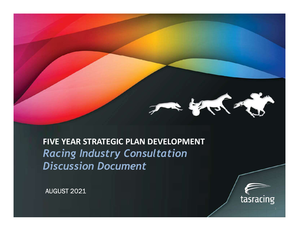

FIVE YEAR STRATEGIC PLAN DEVELOPMENT Racing Industry Consultation Discussion Document

AUGUST 2021



 $1 \quad \blacksquare$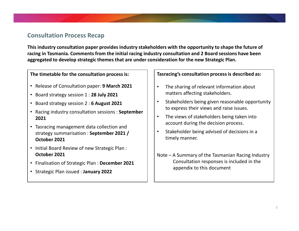## Consultation Process Recap

This industry consultation paper provides industry stakeholders with the opportunity to shape the future of racing in Tasmania. Comments from the initial racing industry consultation and 2 Board sessions have been aggregated to develop strategic themes that are under consideration for the new Strategic Plan. ders with the opportunity to shape the future of<br>ry consultation and 2 Board sessions have been<br>ideration for the new Strategic Plan.<br>Tasracing's consultation process is described as:<br>• The sharing of relevant information

The timetable for the consultation process is:

- Release of Consultation paper: **9 March 2021** | | |
- Board strategy session 1 : 28 July 2021
- Board strategy session 2 : 6 August 2021  $\vert \cdot \vert$
- Racing industry consultation sessions : September | | | 2021
- Tasracing management data collection and strategy summarisation : September 2021 /  $\vert \cdot \vert$ October 2021
- Initial Board Review of new Strategic Plan : October 2021
- Finalisation of Strategic Plan : December 2021
- Strategic Plan issued : January 2022

Tasracing's consultation process is described as:

- The sharing of relevant information about matters affecting stakeholders.
- Stakeholders being given reasonable opportunity to express their views and raise issues.
- The views of stakeholders being taken into
- timely manner.
- Tasracing's consultation process is described as:<br>
 The sharing of relevant information about<br>
matters affecting stakeholders.<br>
 Stakeholders being given reasonable opportunity<br>
to express their views and raise issues.<br> Consultation responses is included in the appendix to this document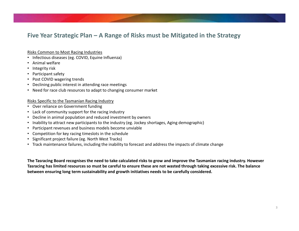# Five Year Strategic Plan – A Range of Risks must be Mitigated in the Strategy<br>Risks Common to Most Racing Industries<br>• Animal welfare

### Risks Common to Most Racing Industries

- Infectious diseases (eg. COVID, Equine Influenza)
- Animal welfare
- Integrity risk
- Participant safety
- Post COVID wagering trends
- Declining public interest in attending race meetings
- Need for race club resources to adapt to changing consumer market

### Risks Specific to the Tasmanian Racing Industry

- Over reliance on Government funding
- Lack of community support for the racing industry
- Decline in animal population and reduced investment by owners
- Inability to attract new participants to the industry (eg. Jockey shortages, Aging demographic)
- Participant revenues and business models become unviable
- Competition for key racing timeslots in the schedule
- Significant project failure (eg. North West Tracks)
- Track maintenance failures, including the inability to forecast and address the impacts of climate change

The Tasracing Board recognises the need to take calculated risks to grow and improve the Tasmanian racing industry. However Tasracing has limited resources so must be careful to ensure these are not wasted through taking excessive risk. The balance between ensuring long term sustainability and growth initiatives needs to be carefully considered.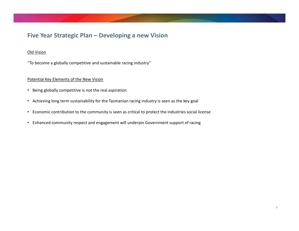# Five Year Strategic Plan – Developing a new Vision<br>Old Vision<br>"To become a globally competitive and sustainable racing industry"

### Old Vision

"To become a globally competitive and sustainable racing industry"

### Potential Key Elements of the New Vision

- Being globally competitive is not the real aspiration
- Achieving long term sustainability for the Tasmanian racing industry is seen as the key goal
- Economic contribution to the community is seen as critical to protect the industries social license
- Enhanced community respect and engagement will underpin Government support of racing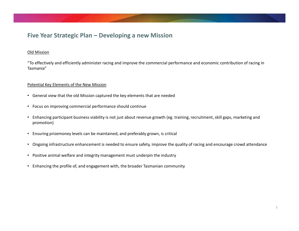# Five Year Strategic Plan – Developing a new Mission<br><u>Old Mission</u><br>"To effectively and efficiently administer racing and improve the commercial performance and economic contribu

### Old Mission

"To effectively and efficiently administer racing and improve the commercial performance and economic contribution of racing in Tasmania"

### Potential Key Elements of the New Mission

- General view that the old Mission captured the key elements that are needed
- Focus on improving commercial performance should continue
- Enhancing participant business viability is not just about revenue growth (eg. training, recruitment, skill gaps, marketing and promotion)
- Ensuring prizemoney levels can be maintained, and preferably grown, is critical
- Ongoing infrastructure enhancement is needed to ensure safety, improve the quality of racing and encourage crowd attendance
- Positive animal welfare and integrity management must underpin the industry
- Enhancing the profile of, and engagement with, the broader Tasmanian community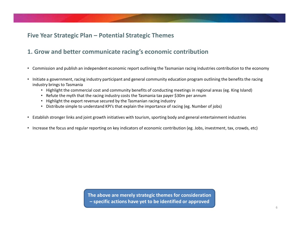# Five Year Strategic Plan – Potential Strategic Themes<br>1. Grow and better communicate racing's economic contribution 1. Grow and better communicate racing's economic contribution

- Commission and publish an independent economic report outlining the Tasmanian racing industries contribution to the economy
- Initiate a government, racing industry participant and general community education program outlining the benefits the racing industry brings to Tasmania
	- Highlight the commercial cost and community benefits of conducting meetings in regional areas (eg. King Island)
	- Refute the myth that the racing industry costs the Tasmania tax payer \$30m per annum
	- Highlight the export revenue secured by the Tasmanian racing industry
	- Distribute simple to understand KPI's that explain the importance of racing (eg. Number of jobs)
- Establish stronger links and joint growth initiatives with tourism, sporting body and general entertainment industries
- Increase the focus and regular reporting on key indicators of economic contribution (eg. Jobs, investment, tax, crowds, etc)

The above are merely strategic themes for consideration For the specific actions with tourism, sporting body and general entertain<br>reporting on key indicators of economic contribution (eg. Jobs, investre<br>porting on key indicators of economic contribution (eg. Jobs, investre<br>int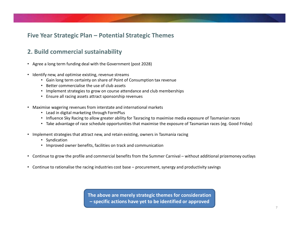# Five Year Strategic Plan – Potential Strategic Themes<br>2. Build commercial sustainability<br>• Agree a long term funding deal with the Government (post 2028)

## 2. Build commercial sustainability

- Agree a long term funding deal with the Government (post 2028)
- Identify new, and optimise existing, revenue streams
	- Gain long term certainty on share of Point of Consumption tax revenue
	- Better commercialise the use of club assets
	- Implement strategies to grow on course attendance and club memberships
	- Ensure all racing assets attract sponsorship revenues
- Maximise wagering revenues from interstate and international markets
	- Lead in digital marketing through FormPlus
	- Influence Sky Racing to allow greater ability for Tasracing to maximise media exposure of Tasmanian races
	- Take advantage of race schedule opportunities that maximise the exposure of Tasmanian races (eg. Good Friday)
- Implement strategies that attract new, and retain existing, owners in Tasmania racing
	- Syndication
	- Improved owner benefits, facilities on track and communication
- Agree a long term funding deal with the Government (post 2028)<br>• Identify new, and optimise existing, revenue sterams<br>• Continue term certainty on share of Point of Consumption tax revenue<br>• Implement strategies to grow • Identify new, and optimise existing, revenue streams<br>• Cain long term certainity on share of Point of Consumption tax revenue<br>• Enter commercialise the gues of club assets<br>• Ensure all racing assets attract sponsorship r
- 

The above are merely strategic themes for consideration om interstate and international markets<br>
allow greater ability for Tasracing to maximise media exposure of Tasr<br>
schedule opportunities that maximise the exposure of Tasmanian race<br>
ct new, and retain existing, owners in T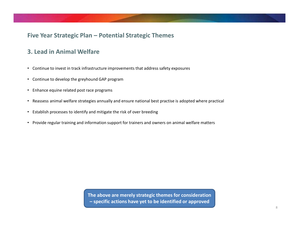# Five Year Strategic Plan – Potential Strategic Themes<br>3. Lead in Animal Welfare

## 3. Lead in Animal Welfare

- Continue to invest in track infrastructure improvements that address safety exposures
- Continue to develop the greyhound GAP program
- Enhance equine related post race programs
- Reassess animal welfare strategies annually and ensure national best practise is adopted where practical
- Establish processes to identify and mitigate the risk of over breeding
- Provide regular training and information support for trainers and owners on animal welfare matters

The above are merely strategic themes for consideration ) and mitigate the risk of over breeding<br>
Dormation support for trainers and owners on animal welfare matters<br>
The above are merely strategic themes for consideration<br>
— specific actions have yet to be identified or approv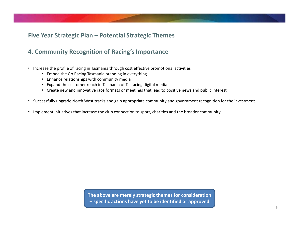# Five Year Strategic Plan – Potential Strategic Themes<br>4. Community Recognition of Racing's Importance

## 4. Community Recognition of Racing's Importance

- Increase the profile of racing in Tasmania through cost effective promotional activities
	- Embed the Go Racing Tasmania branding in everything
	- Enhance relationships with community media
	- Expand the customer reach in Tasmania of Tasracing digital media
	- Create new and innovative race formats or meetings that lead to positive news and public interest
- Successfully upgrade North West tracks and gain appropriate community and government recognition for the investment
- Implement initiatives that increase the club connection to sport, charities and the broader community

The above are merely strategic themes for consideration ease the club connection to sport, charities and the broader communi<br>
The above are merely strategic themes for consideration<br>
— specific actions have yet to be identified or approved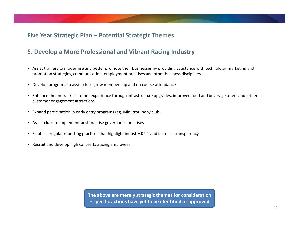# Five Year Strategic Plan – Potential Strategic Themes<br>5. Develop a More Professional and Vibrant Racing Industry 5. Develop a More Professional and Vibrant Racing Industry

- Assist trainers to modernise and better promote their businesses by providing assistance with technology, marketing and promotion strategies, communication, employment practises and other business disciplines
- Develop programs to assist clubs grow membership and on course attendance
- Enhance the on track customer experience through infrastructure upgrades, improved food and beverage offers and other customer engagement attractions
- Expand participation in early entry programs (eg. Mini trot, pony club)
- Assist clubs to implement best practise governance practises
- Establish regular reporting practises that highlight industry KPI's and increase transparency
- Recruit and develop high calibre Tasracing employees

The above are merely strategic themes for consideration have programs (eg. Mini trot, pony club)<br>Practise governance practises<br>tises that highlight industry KPI's and increase transparency<br>Prasacing employees<br>Tasracing employees<br>The above are merely strategic themes for conside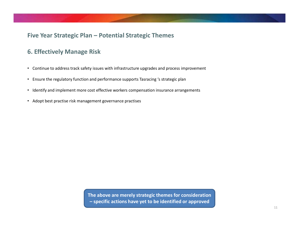# Five Year Strategic Plan – Potential Strategic Themes<br>6. Effectively Manage Risk

## 6. Effectively Manage Risk

- Continue to address track safety issues with infrastructure upgrades and process improvement
- Ensure the regulatory function and performance supports Tasracing 's strategic plan
- Identify and implement more cost effective workers compensation insurance arrangements
- Adopt best practise risk management governance practises

The above are merely strategic themes for consideration The above are merely strategic themes for consideration<br>— specific actions have yet to be identified or approved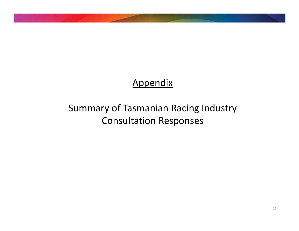## Appendix

## Summary of Tasmanian Racing Industry Consultation Responses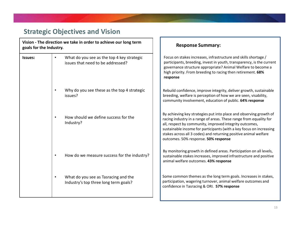## Strategic Objectives and Vision

|                         | <b>Strategic Objectives and Vision</b>                                                       |                                                                                                                                                                                                                                                                                                                                                                                        |
|-------------------------|----------------------------------------------------------------------------------------------|----------------------------------------------------------------------------------------------------------------------------------------------------------------------------------------------------------------------------------------------------------------------------------------------------------------------------------------------------------------------------------------|
| goals for the Industry. | Vision - The direction we take in order to achieve our long term                             | <b>Response Summary:</b>                                                                                                                                                                                                                                                                                                                                                               |
| <b>Issues:</b>          | What do you see as the top 4 key strategic<br>$\bullet$<br>issues that need to be addressed? | Focus on stakes increases, infrastructure and skills shortage /<br>participants, breeding, invest in youth, transparency, is the current<br>governance structure appropriate? Animal Welfare to become a<br>high priority. From breeding to racing then retirement. 68%<br>response                                                                                                    |
|                         | Why do you see these as the top 4 strategic<br>$\bullet$<br>issues?                          | Rebuild confidence, improve integrity, deliver growth, sustainable<br>breeding, welfare is perception of how we are seen, visability,<br>community involvement, education of public. 64% response                                                                                                                                                                                      |
|                         | How should we define success for the<br>Industry?                                            | By achieving key strategies put into place and observing growth of<br>racing industry in a range of areas. These range from equality for<br>all, respect by community, improved integrity outcomes,<br>sustainable income for participants (with a key focus on increasing<br>stakes across all 3 codes) and returning positive animal welfare<br>outcomes. 50% response. 50% response |
|                         | How do we measure success for the industry?<br>$\bullet$                                     | By monitoring growth in defined areas. Participation on all levels,<br>sustainable stakes increases, improved infrastructure and positive<br>animal welfare outcomes. 43% response                                                                                                                                                                                                     |
|                         | What do you see as Tasracing and the<br>$\bullet$<br>Industry's top three long term goals?   | Some common themes as the long term goals. Increases in stakes,<br>participation, wagering turnover, animal welfare outcomes and<br>confidence in Tasracing & ORI. 57% response                                                                                                                                                                                                        |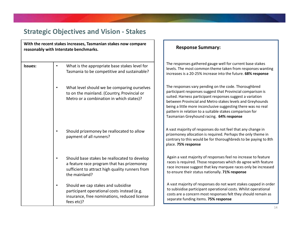|                | <b>Strategic Objectives and Vision - Stakes</b><br>With the recent stakes increases, Tasmanian stakes now compare<br>reasonably with Interstate benchmarks.                 | <b>Response Summary:</b>                                                                                                                                                                                                                                                                                                                                                                                              |
|----------------|-----------------------------------------------------------------------------------------------------------------------------------------------------------------------------|-----------------------------------------------------------------------------------------------------------------------------------------------------------------------------------------------------------------------------------------------------------------------------------------------------------------------------------------------------------------------------------------------------------------------|
| <b>Issues:</b> | What is the appropriate base stakes level for<br>$\bullet$<br>Tasmania to be competitive and sustainable?                                                                   | The responses gathered gauge well for current base stakes<br>levels. The most common theme taken from responses wanting<br>increases is a 20-25% increase into the future. 68% response                                                                                                                                                                                                                               |
|                | What level should we be comparing ourselves<br>$\bullet$<br>to on the mainland. (Country, Provincial or<br>Metro or a combination in which states)?                         | The responses vary pending on the code. Thoroughbred<br>participant responses suggest that Provincial comparison is<br>suited. Harness participant responses suggest a variation<br>between Provincial and Metro stakes levels and Greyhounds<br>being a little more inconclusive suggesting there was no real<br>pattern in relation to a suitable stakes comparison for<br>Tasmanian Greyhound racing. 64% response |
|                | Should prizemoney be reallocated to allow<br>$\bullet$<br>payment of all runners?                                                                                           | A vast majority of responses do not feel that any change in<br>prizemoney allocation is required. Perhaps the only theme in<br>contrary to this would be for thoroughbreds to be paying to 8th<br>place. 75% response                                                                                                                                                                                                 |
|                | Should base stakes be reallocated to develop<br>$\bullet$<br>a feature race program that has prizemoney<br>sufficient to attract high quality runners from<br>the mainland? | Again a vast majority of responses feel no increase to feature<br>races is required. Those responses which do agree with feature<br>race increase suggest that key marquee races only be increased<br>to ensure their status nationally. 71% response                                                                                                                                                                 |
|                | Should we cap stakes and subsidise<br>$\bullet$<br>participant operational costs instead (e.g.<br>insurance, free nominations, reduced license<br>fees etc)?                | A vast majority of responses do not want stakes capped in order<br>to subisidise participant operational costs. Whilst operational<br>costs are a concern most responses felt they should remain as<br>separate funding items. 75% response                                                                                                                                                                           |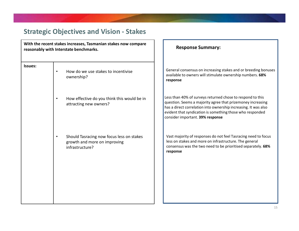|                | <b>Strategic Objectives and Vision - Stakes</b>                                                          |                                                                                                                                                                                                                                                                                               |
|----------------|----------------------------------------------------------------------------------------------------------|-----------------------------------------------------------------------------------------------------------------------------------------------------------------------------------------------------------------------------------------------------------------------------------------------|
|                | With the recent stakes increases, Tasmanian stakes now compare<br>reasonably with Interstate benchmarks. | <b>Response Summary:</b>                                                                                                                                                                                                                                                                      |
| <b>Issues:</b> | How do we use stakes to incentivise<br>ownership?                                                        | General consensus on increasing stakes and or breeding bonuses<br>available to owners will stimulate ownership numbers. 68%<br>response                                                                                                                                                       |
|                | How effective do you think this would be in<br>attracting new owners?                                    | Less than 40% of surveys returned chose to respond to this<br>question. Seems a majority agree that prizemoney increasing<br>has a direct correlation into ownership increasing. It was also<br>evident that syndication is something those who responded<br>consider important. 39% response |
|                | Should Tasracing now focus less on stakes<br>growth and more on improving<br>infrastructure?             | Vast majority of responses do not feel Tasracing need to focus<br>less on stakes and more on infrastructure. The general<br>consensus was the two need to be prioritised separately. 68%<br>response                                                                                          |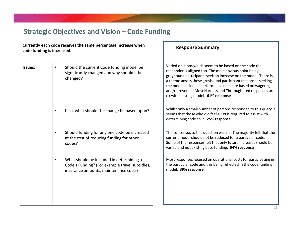|                            | <b>Strategic Objectives and Vision – Code Funding</b>                                                                               |                                                                                                                                                                                                                                                                                                                                                                                                                        |
|----------------------------|-------------------------------------------------------------------------------------------------------------------------------------|------------------------------------------------------------------------------------------------------------------------------------------------------------------------------------------------------------------------------------------------------------------------------------------------------------------------------------------------------------------------------------------------------------------------|
| code funding is increased. | Currently each code receives the same percentage increase when                                                                      | <b>Response Summary:</b>                                                                                                                                                                                                                                                                                                                                                                                               |
| Issues:                    | Should the current Code funding model be<br>٠<br>significantly changed and why should it be<br>changed?                             | Varied opinions which seem to be based on the code the<br>responder is aligned too. The most obvious point being<br>greyhound participants seek an increase on the model. There is<br>a theme across these greyhound participant responses seeking<br>the model include a performance measure based on wagering<br>and/or revenue. Most Harness and Thoroughbred responses are<br>ok with existing model. 61% response |
|                            | If so, what should the change be based upon?<br>٠                                                                                   | Whilst only a small number of persons responded to this query it<br>seems that those who did feel a KPI is required to assist with<br>determining code split. 25% response                                                                                                                                                                                                                                             |
|                            | Should funding for any one code be increased<br>at the cost of reducing funding for other<br>codes?                                 | The consensus to this question was no. The majority felt that the<br>current model should not be reduced for a particular code.<br>Some of the responses felt that only future increases should be<br>varied and not existing base funding. 54% response                                                                                                                                                               |
|                            | What should be included in determining a<br>Code's Funding? (For example travel subsidies,<br>insurance amounts, maintenance costs) | Most responses focused on operational costs for participating in<br>the particular code and this being reflected in the code funding<br>model. 39% response                                                                                                                                                                                                                                                            |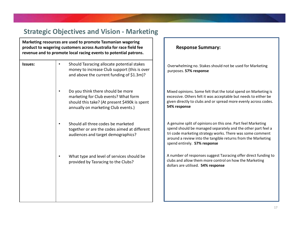|                | <b>Strategic Objectives and Vision - Marketing</b>                                                                                                                                                  |                                                                                                                                                                                                                                                                                           |
|----------------|-----------------------------------------------------------------------------------------------------------------------------------------------------------------------------------------------------|-------------------------------------------------------------------------------------------------------------------------------------------------------------------------------------------------------------------------------------------------------------------------------------------|
|                | Marketing resources are used to promote Tasmanian wagering<br>product to wagering customers across Australia for race field fee<br>revenue and to promote local racing events to potential patrons. | <b>Response Summary:</b>                                                                                                                                                                                                                                                                  |
| <b>Issues:</b> | Should Tasracing allocate potential stakes<br>$\bullet$<br>money to increase Club support (this is over<br>and above the current funding of \$1.3m)?                                                | Overwhelming no. Stakes should not be used for Marketing<br>purposes. 57% response                                                                                                                                                                                                        |
|                | Do you think there should be more<br>$\bullet$<br>marketing for Club events? What form<br>should this take? (At present \$490k is spent<br>annually on marketing Club events.)                      | Mixed opinions. Some felt that the total spend on Marketing is<br>excessive. Others felt it was acceptable but needs to either be<br>given directly to clubs and or spread more evenly across codes.<br>54% response                                                                      |
|                | Should all three codes be marketed<br>$\bullet$<br>together or are the codes aimed at different<br>audiences and target demographics?                                                               | A genuine split of opinions on this one. Part feel Marketing<br>spend should be managed separately and the other part feel a<br>tri code marketing strategy works. There was some comment<br>around a review into the tangible returns from the Marketing<br>spend entirely. 57% response |
|                | What type and level of services should be<br>$\bullet$<br>provided by Tasracing to the Clubs?                                                                                                       | A number of responses suggest Tasracing offer direct funding to<br>clubs and allow them more control on how the Marketing<br>dollars are utilised. 54% response                                                                                                                           |
|                |                                                                                                                                                                                                     |                                                                                                                                                                                                                                                                                           |
|                |                                                                                                                                                                                                     |                                                                                                                                                                                                                                                                                           |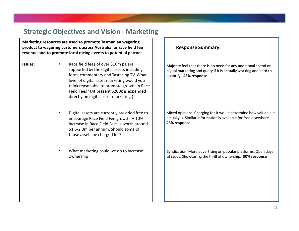|         | <b>Strategic Objectives and Vision - Marketing</b>                                                                                                                                                                                                                                                                           |                                                                                                                                       |
|---------|------------------------------------------------------------------------------------------------------------------------------------------------------------------------------------------------------------------------------------------------------------------------------------------------------------------------------|---------------------------------------------------------------------------------------------------------------------------------------|
|         | Marketing resources are used to promote Tasmanian wagering<br>product to wagering customers across Australia for race field fee<br>revenue and to promote local racing events to potential patrons                                                                                                                           | <b>Response Summary:</b>                                                                                                              |
| Issues: | Race field fees of over \$16m pa are<br>$\bullet$<br>supported by the digital assets including<br>form, commentary and Tasracing TV. What<br>level of digital asset marketing would you<br>think reasonable to promote growth in Race<br>Field Fees? (At present \$200k is expended<br>directly on digital asset marketing.) | Majority feel that there is no need for any additic<br>digital marketing and query if it is actually workin<br>quantify. 43% response |
|         | Digital assets are currently provided free to<br>٠<br>encourage Race Field Fee growth. A 10%<br>increase in Race Field Fees is worth around<br>\$1.5-2.0m per annum. Should some of<br>those assets be charged for?                                                                                                          | Mixed opinions. Charging for it would determine<br>actually is. Similar information is available for free<br>43% response             |
|         | What marketing could we do to increase<br>ownership?                                                                                                                                                                                                                                                                         | Syndication. More advertising on popular platfor<br>at studs. Showcasing the thrill of ownership. 50%                                 |

### Response Summary:

rity feel that there is no need for any additional spend on I marketing and query if it is actually working and hard to tify. 43% response

d opinions. Charging for it would determine how valuable it Ily is. Similar information is available for free elsewhere. **response** 

ication. More advertising on popular platforms. Open days ads. Showcasing the thrill of ownership. 50% response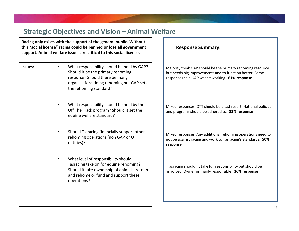|         |           | <b>Strategic Objectives and Vision - Animal Welfare</b>                                                                                                                                                          |                                                                                                                                                                          |
|---------|-----------|------------------------------------------------------------------------------------------------------------------------------------------------------------------------------------------------------------------|--------------------------------------------------------------------------------------------------------------------------------------------------------------------------|
|         |           | Racing only exists with the support of the general public. Without<br>this "social license" racing could be banned or lose all government<br>support. Animal welfare issues are critical to this social license. | <b>Response Summary:</b>                                                                                                                                                 |
| Issues: | $\bullet$ | What responsibility should be held by GAP?<br>Should it be the primary rehoming<br>resource? Should there be many<br>organisations doing rehoming but GAP sets<br>the rehoming standard?                         | Majority think GAP should be the primary rehoming resource<br>but needs big improvements and to function better. Some<br>responses said GAP wasn't working. 61% response |
|         |           | What responsibility should be held by the<br>Off The Track program? Should it set the<br>equine welfare standard?                                                                                                | Mixed responses. OTT should be a last resort. National policies<br>and programs should be adhered to. 32% response                                                       |
|         | $\bullet$ | Should Tasracing financially support other<br>rehoming operations (non GAP or OTT<br>entities)?                                                                                                                  | Mixed responses. Any additional rehoming operations need to<br>not be against racing and work to Tasracing's standards. 50%<br>response                                  |
|         | $\bullet$ | What level of responsibility should<br>Tasracing take on for equine rehoming?<br>Should it take ownership of animals, retrain<br>and rehome or fund and support these<br>operations?                             | Tasracing shouldn't take full responsibility but should be<br>involved. Owner primarily responsible. 36% response                                                        |
|         |           |                                                                                                                                                                                                                  |                                                                                                                                                                          |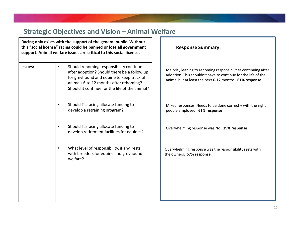|                |           | <b>Strategic Objectives and Vision - Animal Welfare</b><br>Racing only exists with the support of the general public. Without                                                                                                   |                                                                                                                                                                                           |  |
|----------------|-----------|---------------------------------------------------------------------------------------------------------------------------------------------------------------------------------------------------------------------------------|-------------------------------------------------------------------------------------------------------------------------------------------------------------------------------------------|--|
|                |           | this "social license" racing could be banned or lose all government<br>support. Animal welfare issues are critical to this social license.                                                                                      | <b>Response Summary:</b>                                                                                                                                                                  |  |
| <b>Issues:</b> | $\bullet$ | Should rehoming responsibility continue<br>after adoption? Should there be a follow up<br>for greyhound and equine to keep track of<br>animals 6 to 12 months after rehoming?<br>Should it continue for the life of the animal? | Majority leaning to rehoming responsibilities continuing after<br>adoption. This shouldn't have to continue for the life of the<br>animal but at least the next 6-12 months. 61% response |  |
|                |           | Should Tasracing allocate funding to<br>develop a retraining program?                                                                                                                                                           | Mixed responses. Needs to be done correctly with the right<br>people employed. 61% response                                                                                               |  |
|                | $\bullet$ | Should Tasracing allocate funding to<br>develop retirement facilities for equines?                                                                                                                                              | Overwhelming response was No. 39% response                                                                                                                                                |  |
|                | $\bullet$ | What level of responsibility, if any, rests<br>with breeders for equine and greyhound<br>welfare?                                                                                                                               | Overwhelming response was the responsibility rests with<br>the owners. 57% response                                                                                                       |  |
|                |           |                                                                                                                                                                                                                                 |                                                                                                                                                                                           |  |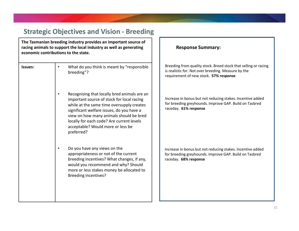|                | <b>Strategic Objectives and Vision - Breeding</b>                                                                                                                                                                                                                                                                                            |                                                                                                                                                                  |
|----------------|----------------------------------------------------------------------------------------------------------------------------------------------------------------------------------------------------------------------------------------------------------------------------------------------------------------------------------------------|------------------------------------------------------------------------------------------------------------------------------------------------------------------|
|                | The Tasmanian breeding industry provides an important source of<br>racing animals to support the local industry as well as generating<br>economic contributions to the state.                                                                                                                                                                | <b>Response Summary:</b>                                                                                                                                         |
| <b>Issues:</b> | What do you think is meant by "responsible<br>breeding"?                                                                                                                                                                                                                                                                                     | Breeding from quality stock. Breed stock that selling or racing<br>is realistic for. Not over breeding. Measure by the<br>requirement of new stock. 57% response |
|                | Recognising that locally bred animals are an<br>$\bullet$<br>important source of stock for local racing<br>while at the same time oversupply creates<br>significant welfare issues, do you have a<br>view on how many animals should be bred<br>locally for each code? Are current levels<br>acceptable? Would more or less be<br>preferred? | Increase in bonus but not reducing stakes. Incentive added<br>for breeding greyhounds. Improve GAP. Build on Tasbred<br>raceday. 61% response                    |
|                | Do you have any views on the<br>$\bullet$<br>appropriateness or not of the current<br>breeding incentives? What changes, if any,<br>would you recommend and why? Should<br>more or less stakes money be allocated to<br><b>Breeding incentives?</b>                                                                                          | Increase in bonus but not reducing stakes. Incentive added<br>for breeding greyhounds. Improve GAP. Build on Tasbred<br>raceday. 68% response                    |